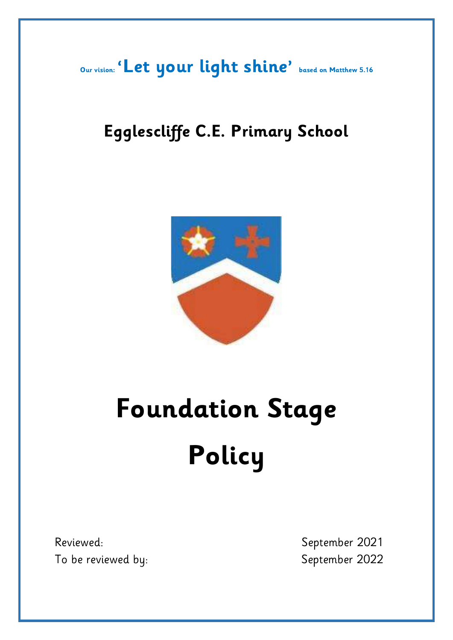**Our vision: 'Let your light shine' based on Matthew 5.16**

# **Egglescliffe C.E. Primary School**



# **Foundation Stage Policy**

Reviewed: September 2021 To be reviewed by: September 2022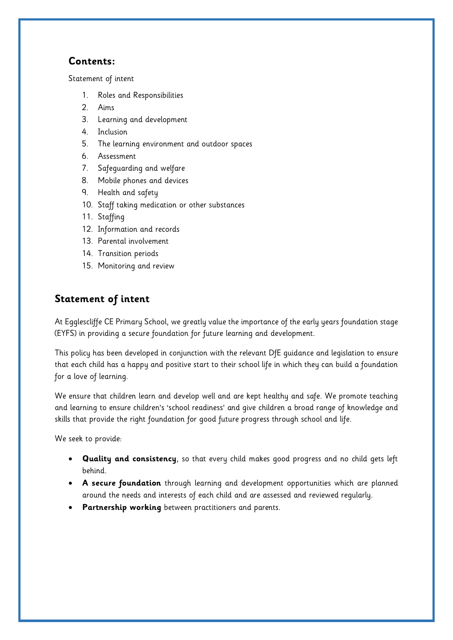# **Contents:**

Statement of intent

- 1. Roles and Responsibilities
- 2. [Aims](#page-2-0)
- 3. [Learning and development](#page-3-0)
- 4. [Inclusion](#page-4-0)
- 5. [The learning environment and outdoor spaces](#page-5-0)
- 6. [Assessment](#page-5-1)
- 7. [Safeguarding and welfare](#page-5-2)
- 8. [Mobile phones and devices](#page-6-0)
- 9. [Health and safety](#page-7-0)
- 10. [Staff taking medication or other substances](#page-8-0)
- 11. [Staffing](#page-8-1)
- 12. [Information and records](#page-9-0)
- 13. [Parental involvement](#page-10-0)
- 14. [Transition periods](#page-10-1)
- 15. [Monitoring and review](#page-11-0)

# **Statement of intent**

At Egglescliffe CE Primary School, we greatly value the importance of the early years foundation stage (EYFS) in providing a secure foundation for future learning and development.

This policy has been developed in conjunction with the relevant DfE guidance and legislation to ensure that each child has a happy and positive start to their school life in which they can build a foundation for a love of learning.

We ensure that children learn and develop well and are kept healthy and safe. We promote teaching and learning to ensure children's 'school readiness' and give children a broad range of knowledge and skills that provide the right foundation for good future progress through school and life.

We seek to provide:

- **Quality and consistency**, so that every child makes good progress and no child gets left behind.
- **A secure foundation** through learning and development opportunities which are planned around the needs and interests of each child and are assessed and reviewed regularly.
- **Partnership working** between practitioners and parents.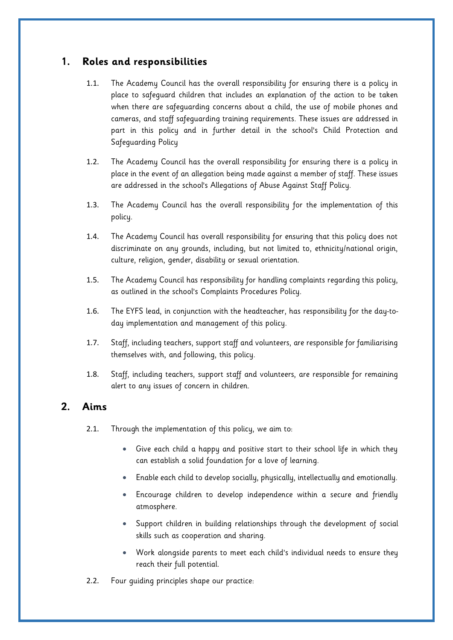# **1. Roles and responsibilities**

- 1.1. The Academy Council has the overall responsibility for ensuring there is a policy in place to safeguard children that includes an explanation of the action to be taken when there are safeguarding concerns about a child, the use of mobile phones and cameras, and staff safeguarding training requirements. These issues are addressed in part in this policy and in further detail in the school's Child Protection and Safeguarding Policy
- 1.2. The Academy Council has the overall responsibility for ensuring there is a policy in place in the event of an allegation being made against a member of staff. These issues are addressed in the school's Allegations of Abuse Against Staff Policy.
- 1.3. The Academy Council has the overall responsibility for the implementation of this policy.
- 1.4. The Academy Council has overall responsibility for ensuring that this policy does not discriminate on any grounds, including, but not limited to, ethnicity/national origin, culture, religion, gender, disability or sexual orientation.
- 1.5. The Academy Council has responsibility for handling complaints regarding this policy, as outlined in the school's Complaints Procedures Policy.
- 1.6. The EYFS lead, in conjunction with the headteacher, has responsibility for the day-today implementation and management of this policy.
- 1.7. Staff, including teachers, support staff and volunteers, are responsible for familiarising themselves with, and following, this policy.
- 1.8. Staff, including teachers, support staff and volunteers, are responsible for remaining alert to any issues of concern in children.

# <span id="page-2-0"></span>**2. Aims**

- 2.1. Through the implementation of this policy, we aim to:
	- Give each child a happy and positive start to their school life in which they can establish a solid foundation for a love of learning.
	- Enable each child to develop socially, physically, intellectually and emotionally.
	- Encourage children to develop independence within a secure and friendly atmosphere.
	- Support children in building relationships through the development of social skills such as cooperation and sharing.
	- Work alongside parents to meet each child's individual needs to ensure they reach their full potential.
- 2.2. Four guiding principles shape our practice: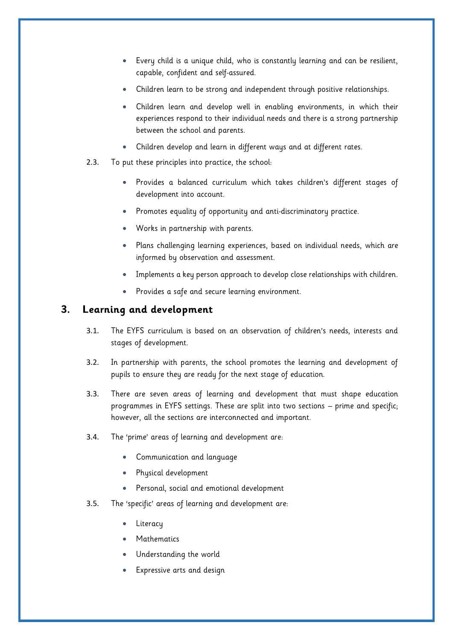- Every child is a unique child, who is constantly learning and can be resilient, capable, confident and self-assured.
- Children learn to be strong and independent through positive relationships.
- Children learn and develop well in enabling environments, in which their experiences respond to their individual needs and there is a strong partnership between the school and parents.
- Children develop and learn in different ways and at different rates.
- 2.3. To put these principles into practice, the school:
	- Provides a balanced curriculum which takes children's different stages of development into account.
	- Promotes equality of opportunity and anti-discriminatory practice.
	- Works in partnership with parents.
	- Plans challenging learning experiences, based on individual needs, which are informed by observation and assessment.
	- Implements a key person approach to develop close relationships with children.
	- Provides a safe and secure learning environment.

#### <span id="page-3-0"></span>**3. Learning and development**

- 3.1. The EYFS curriculum is based on an observation of children's needs, interests and stages of development.
- 3.2. In partnership with parents, the school promotes the learning and development of pupils to ensure they are ready for the next stage of education.
- 3.3. There are seven areas of learning and development that must shape education programmes in EYFS settings. These are split into two sections – prime and specific; however, all the sections are interconnected and important.
- 3.4. The 'prime' areas of learning and development are:
	- Communication and language
	- Physical development
	- Personal, social and emotional development
- 3.5. The 'specific' areas of learning and development are:
	- Literacy
	- Mathematics
	- Understanding the world
	- Expressive arts and design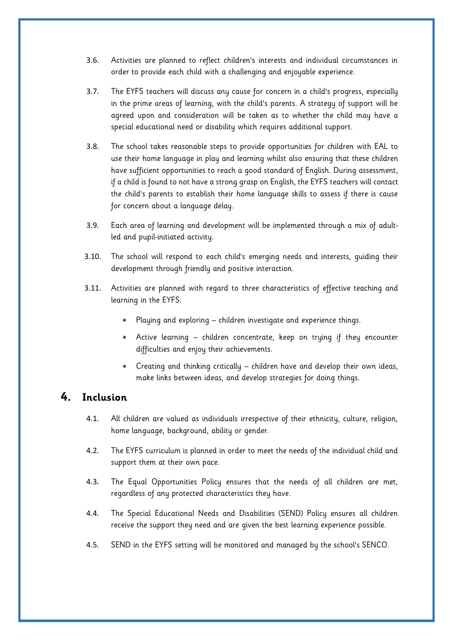- 3.6. Activities are planned to reflect children's interests and individual circumstances in order to provide each child with a challenging and enjoyable experience.
- 3.7. The EYFS teachers will discuss any cause for concern in a child's progress, especially in the prime areas of learning, with the child's parents. A strategy of support will be agreed upon and consideration will be taken as to whether the child may have a special educational need or disability which requires additional support.
- 3.8. The school takes reasonable steps to provide opportunities for children with EAL to use their home language in play and learning whilst also ensuring that these children have sufficient opportunities to reach a good standard of English. During assessment, if a child is found to not have a strong grasp on English, the EYFS teachers will contact the child's parents to establish their home language skills to assess if there is cause for concern about a language delay.
- 3.9. Each area of learning and development will be implemented through a mix of adultled and pupil-initiated activity.
- 3.10. The school will respond to each child's emerging needs and interests, guiding their development through friendly and positive interaction.
- 3.11. Activities are planned with regard to three characteristics of effective teaching and learning in the EYFS:
	- Playing and exploring children investigate and experience things.
	- Active learning children concentrate, keep on trying if they encounter difficulties and enjoy their achievements.
	- Creating and thinking critically children have and develop their own ideas, make links between ideas, and develop strategies for doing things.

# <span id="page-4-0"></span>**4. Inclusion**

- 4.1. All children are valued as individuals irrespective of their ethnicity, culture, religion, home language, background, ability or gender.
- 4.2. The EYFS curriculum is planned in order to meet the needs of the individual child and support them at their own pace.
- 4.3. The Equal Opportunities Policy ensures that the needs of all children are met, regardless of any protected characteristics they have.
- 4.4. The Special Educational Needs and Disabilities (SEND) Policy ensures all children receive the support they need and are given the best learning experience possible.
- 4.5. SEND in the EYFS setting will be monitored and managed by the school's SENCO.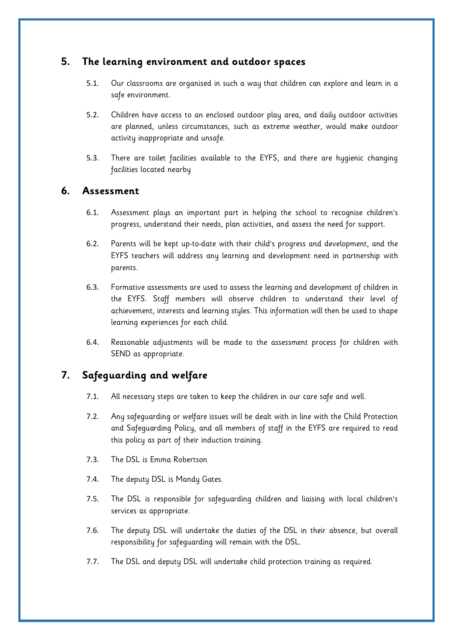# <span id="page-5-0"></span>**5. The learning environment and outdoor spaces**

- 5.1. Our classrooms are organised in such a way that children can explore and learn in a safe environment.
- 5.2. Children have access to an enclosed outdoor play area, and daily outdoor activities are planned, unless circumstances, such as extreme weather, would make outdoor activity inappropriate and unsafe.
- 5.3. There are toilet facilities available to the EYFS, and there are hygienic changing facilities located nearby

#### <span id="page-5-1"></span>**6. Assessment**

- 6.1. Assessment plays an important part in helping the school to recognise children's progress, understand their needs, plan activities, and assess the need for support.
- 6.2. Parents will be kept up-to-date with their child's progress and development, and the EYFS teachers will address any learning and development need in partnership with parents.
- 6.3. Formative assessments are used to assess the learning and development of children in the EYFS. Staff members will observe children to understand their level of achievement, interests and learning styles. This information will then be used to shape learning experiences for each child.
- 6.4. Reasonable adjustments will be made to the assessment process for children with SEND as appropriate.

# <span id="page-5-2"></span>**7. Safeguarding and welfare**

- 7.1. All necessary steps are taken to keep the children in our care safe and well.
- 7.2. Any safeguarding or welfare issues will be dealt with in line with the Child Protection and Safeguarding Policy, and all members of staff in the EYFS are required to read this policy as part of their induction training.
- 7.3. The DSL is Emma Robertson
- 7.4. The deputy DSL is Mandy Gates.
- 7.5. The DSL is responsible for safeguarding children and liaising with local children's services as appropriate.
- 7.6. The deputy DSL will undertake the duties of the DSL in their absence, but overall responsibility for safeguarding will remain with the DSL.
- 7.7. The DSL and deputy DSL will undertake child protection training as required.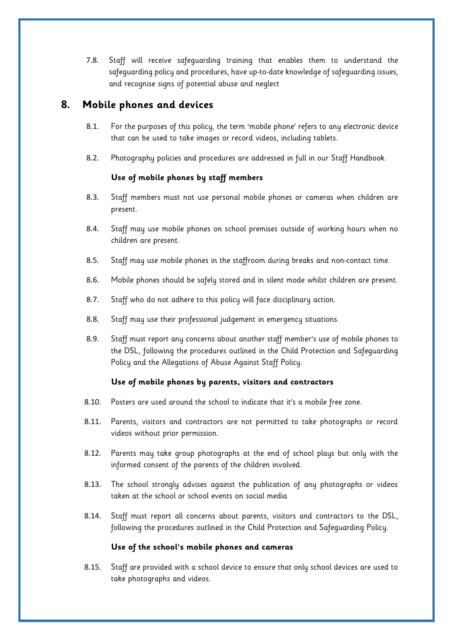7.8. Staff will receive safeguarding training that enables them to understand the safeguarding policy and procedures, have up-to-date knowledge of safeguarding issues, and recognise signs of potential abuse and neglect

# <span id="page-6-0"></span>**8. Mobile phones and devices**

- 8.1. For the purposes of this policy, the term 'mobile phone' refers to any electronic device that can be used to take images or record videos, including tablets.
- 8.2. Photography policies and procedures are addressed in full in our Staff Handbook.

#### **Use of mobile phones by staff members**

- 8.3. Staff members must not use personal mobile phones or cameras when children are present.
- 8.4. Staff may use mobile phones on school premises outside of working hours when no children are present.
- 8.5. Staff may use mobile phones in the staffroom during breaks and non-contact time.
- 8.6. Mobile phones should be safely stored and in silent mode whilst children are present.
- 8.7. Staff who do not adhere to this policy will face disciplinary action.
- 8.8. Staff may use their professional judgement in emergency situations.
- 8.9. Staff must report any concerns about another staff member's use of mobile phones to the DSL, following the procedures outlined in the Child Protection and Safeguarding Policy and the Allegations of Abuse Against Staff Policy.

#### **Use of mobile phones by parents, visitors and contractors**

- 8.10. Posters are used around the school to indicate that it's a mobile free zone.
- 8.11. Parents, visitors and contractors are not permitted to take photographs or record videos without prior permission.
- 8.12. Parents may take group photographs at the end of school plays but only with the informed consent of the parents of the children involved.
- 8.13. The school strongly advises against the publication of any photographs or videos taken at the school or school events on social media
- 8.14. Staff must report all concerns about parents, visitors and contractors to the DSL, following the procedures outlined in the Child Protection and Safeguarding Policy.

#### **Use of the school's mobile phones and cameras**

8.15. Staff are provided with a school device to ensure that only school devices are used to take photographs and videos.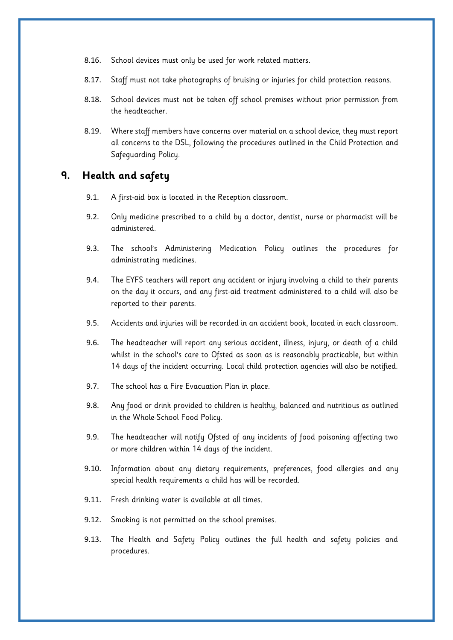- 8.16. School devices must only be used for work related matters.
- 8.17. Staff must not take photographs of bruising or injuries for child protection reasons.
- 8.18. School devices must not be taken off school premises without prior permission from the headteacher.
- 8.19. Where staff members have concerns over material on a school device, they must report all concerns to the DSL, following the procedures outlined in the Child Protection and Safeguarding Policy.

# <span id="page-7-0"></span>**9. Health and safety**

- 9.1. A first-aid box is located in the Reception classroom.
- 9.2. Only medicine prescribed to a child by a doctor, dentist, nurse or pharmacist will be administered.
- 9.3. The school's Administering Medication Policy outlines the procedures for administrating medicines.
- 9.4. The EYFS teachers will report any accident or injury involving a child to their parents on the day it occurs, and any first-aid treatment administered to a child will also be reported to their parents.
- 9.5. Accidents and injuries will be recorded in an accident book, located in each classroom.
- 9.6. The headteacher will report any serious accident, illness, injury, or death of a child whilst in the school's care to Ofsted as soon as is reasonably practicable, but within 14 days of the incident occurring. Local child protection agencies will also be notified.
- 9.7. The school has a Fire Evacuation Plan in place.
- 9.8. Any food or drink provided to children is healthy, balanced and nutritious as outlined in the Whole-School Food Policy.
- 9.9. The headteacher will notify Ofsted of any incidents of food poisoning affecting two or more children within 14 days of the incident.
- 9.10. Information about any dietary requirements, preferences, food allergies and any special health requirements a child has will be recorded.
- 9.11. Fresh drinking water is available at all times.
- 9.12. Smoking is not permitted on the school premises.
- 9.13. The Health and Safety Policy outlines the full health and safety policies and procedures.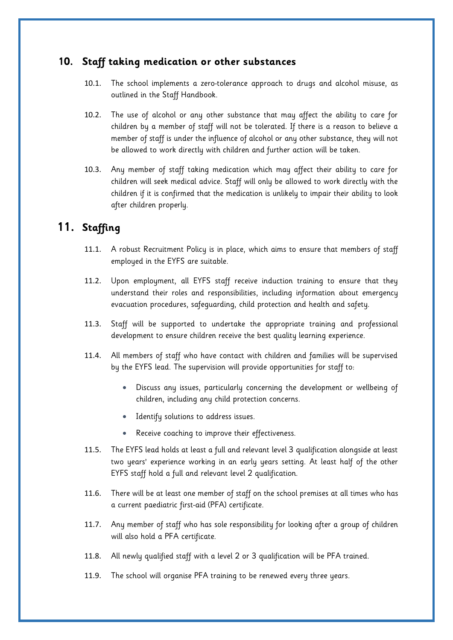# <span id="page-8-0"></span>**10. Staff taking medication or other substances**

- 10.1. The school implements a zero-tolerance approach to drugs and alcohol misuse, as outlined in the Staff Handbook.
- 10.2. The use of alcohol or any other substance that may affect the ability to care for children by a member of staff will not be tolerated. If there is a reason to believe a member of staff is under the influence of alcohol or any other substance, they will not be allowed to work directly with children and further action will be taken.
- 10.3. Any member of staff taking medication which may affect their ability to care for children will seek medical advice. Staff will only be allowed to work directly with the children if it is confirmed that the medication is unlikely to impair their ability to look after children properly.

# <span id="page-8-1"></span>**11. Staffing**

- 11.1. A robust Recruitment Policy is in place, which aims to ensure that members of staff employed in the EYFS are suitable.
- 11.2. Upon employment, all EYFS staff receive induction training to ensure that they understand their roles and responsibilities, including information about emergency evacuation procedures, safeguarding, child protection and health and safety.
- 11.3. Staff will be supported to undertake the appropriate training and professional development to ensure children receive the best quality learning experience.
- 11.4. All members of staff who have contact with children and families will be supervised by the EYFS lead. The supervision will provide opportunities for staff to:
	- Discuss any issues, particularly concerning the development or wellbeing of children, including any child protection concerns.
	- Identify solutions to address issues.
	- Receive coaching to improve their effectiveness.
- 11.5. The EYFS lead holds at least a full and relevant level 3 qualification alongside at least two years' experience working in an early years setting. At least half of the other EYFS staff hold a full and relevant level 2 qualification.
- 11.6. There will be at least one member of staff on the school premises at all times who has a current paediatric first-aid (PFA) certificate.
- 11.7. Any member of staff who has sole responsibility for looking after a group of children will also hold a PFA certificate.
- 11.8. All newly qualified staff with a level 2 or 3 qualification will be PFA trained.
- 11.9. The school will organise PFA training to be renewed every three years.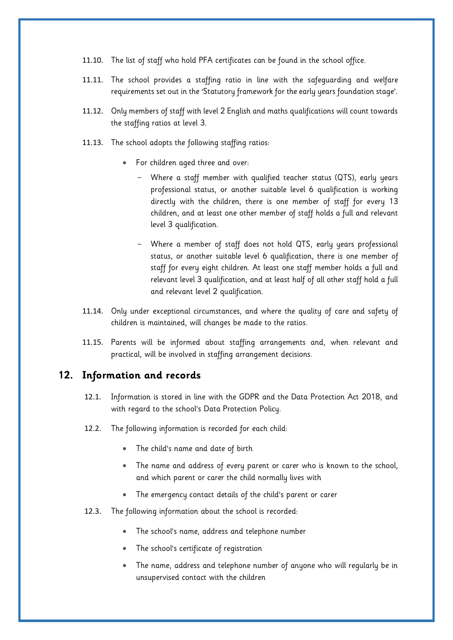- 11.10. The list of staff who hold PFA certificates can be found in the school office.
- 11.11. The school provides a staffing ratio in line with the safeguarding and welfare requirements set out in the 'Statutory framework for the early years foundation stage'.
- 11.12. Only members of staff with level 2 English and maths qualifications will count towards the staffing ratios at level 3.
- 11.13. The school adopts the following staffing ratios:
	- For children aged three and over:
		- Where a staff member with qualified teacher status (QTS), early years professional status, or another suitable level 6 qualification is working directly with the children, there is one member of staff for every 13 children, and at least one other member of staff holds a full and relevant level 3 qualification.
		- Where a member of staff does not hold QTS, early years professional status, or another suitable level 6 qualification, there is one member of staff for every eight children. At least one staff member holds a full and relevant level 3 qualification, and at least half of all other staff hold a full and relevant level 2 qualification.
- 11.14. Only under exceptional circumstances, and where the quality of care and safety of children is maintained, will changes be made to the ratios.
- 11.15. Parents will be informed about staffing arrangements and, when relevant and practical, will be involved in staffing arrangement decisions.

#### <span id="page-9-0"></span>**12. Information and records**

- 12.1. Information is stored in line with the GDPR and the Data Protection Act 2018, and with regard to the school's Data Protection Policy.
- 12.2. The following information is recorded for each child:
	- The child's name and date of birth
	- The name and address of every parent or carer who is known to the school, and which parent or carer the child normally lives with
	- The emergency contact details of the child's parent or carer
- 12.3. The following information about the school is recorded:
	- The school's name, address and telephone number
	- The school's certificate of registration
	- The name, address and telephone number of anyone who will regularly be in unsupervised contact with the children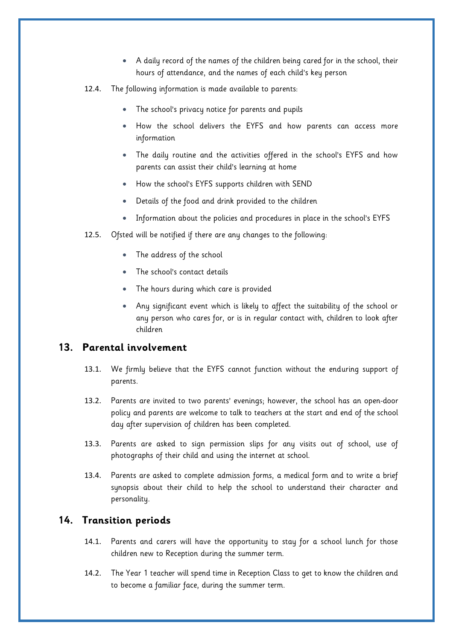- A daily record of the names of the children being cared for in the school, their hours of attendance, and the names of each child's key person
- 12.4. The following information is made available to parents:
	- The school's privacy notice for parents and pupils
	- How the school delivers the EYFS and how parents can access more information
	- The daily routine and the activities offered in the school's EYFS and how parents can assist their child's learning at home
	- How the school's EYFS supports children with SEND
	- Details of the food and drink provided to the children
	- Information about the policies and procedures in place in the school's EYFS
- 12.5. Ofsted will be notified if there are any changes to the following:
	- The address of the school
	- The school's contact details
	- The hours during which care is provided
	- Any significant event which is likely to affect the suitability of the school or any person who cares for, or is in regular contact with, children to look after children

# <span id="page-10-0"></span>**13. Parental involvement**

- 13.1. We firmly believe that the EYFS cannot function without the enduring support of parents.
- 13.2. Parents are invited to two parents' evenings; however, the school has an open-door policy and parents are welcome to talk to teachers at the start and end of the school day after supervision of children has been completed.
- 13.3. Parents are asked to sign permission slips for any visits out of school, use of photographs of their child and using the internet at school.
- 13.4. Parents are asked to complete admission forms, a medical form and to write a brief synopsis about their child to help the school to understand their character and personality.

#### <span id="page-10-1"></span>**14. Transition periods**

- 14.1. Parents and carers will have the opportunity to stay for a school lunch for those children new to Reception during the summer term.
- 14.2. The Year 1 teacher will spend time in Reception Class to get to know the children and to become a familiar face, during the summer term.